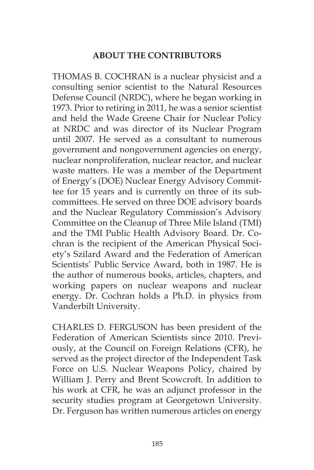## **ABOUT THE CONTRIBUTORS**

THOMAS B. COCHRAN is a nuclear physicist and a consulting senior scientist to the Natural Resources Defense Council (NRDC), where he began working in 1973. Prior to retiring in 2011, he was a senior scientist and held the Wade Greene Chair for Nuclear Policy at NRDC and was director of its Nuclear Program until 2007. He served as a consultant to numerous government and nongovernment agencies on energy, nuclear nonproliferation, nuclear reactor, and nuclear waste matters. He was a member of the Department of Energy's (DOE) Nuclear Energy Advisory Committee for 15 years and is currently on three of its subcommittees. He served on three DOE advisory boards and the Nuclear Regulatory Commission's Advisory Committee on the Cleanup of Three Mile Island (TMI) and the TMI Public Health Advisory Board. Dr. Cochran is the recipient of the American Physical Society's Szilard Award and the Federation of American Scientists' Public Service Award, both in 1987. He is the author of numerous books, articles, chapters, and working papers on nuclear weapons and nuclear energy. Dr. Cochran holds a Ph.D. in physics from Vanderbilt University.

CHARLES D. FERGUSON has been president of the Federation of American Scientists since 2010. Previously, at the Council on Foreign Relations (CFR), he served as the project director of the Independent Task Force on U.S. Nuclear Weapons Policy, chaired by William J. Perry and Brent Scowcroft. In addition to his work at CFR, he was an adjunct professor in the security studies program at Georgetown University. Dr. Ferguson has written numerous articles on energy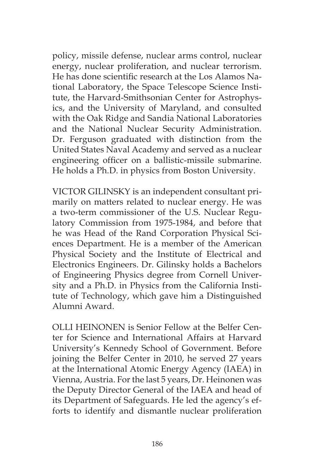policy, missile defense, nuclear arms control, nuclear energy, nuclear proliferation, and nuclear terrorism. He has done scientific research at the Los Alamos National Laboratory, the Space Telescope Science Institute, the Harvard-Smithsonian Center for Astrophysics, and the University of Maryland, and consulted with the Oak Ridge and Sandia National Laboratories and the National Nuclear Security Administration. Dr. Ferguson graduated with distinction from the United States Naval Academy and served as a nuclear engineering officer on a ballistic-missile submarine. He holds a Ph.D. in physics from Boston University.

VICTOR GILINSKY is an independent consultant primarily on matters related to nuclear energy. He was a two-term commissioner of the U.S. Nuclear Regulatory Commission from 1975-1984, and before that he was Head of the Rand Corporation Physical Sciences Department. He is a member of the American Physical Society and the Institute of Electrical and Electronics Engineers. Dr. Gilinsky holds a Bachelors of Engineering Physics degree from Cornell University and a Ph.D. in Physics from the California Institute of Technology, which gave him a Distinguished Alumni Award.

OLLI HEINONEN is Senior Fellow at the Belfer Center for Science and International Affairs at Harvard University's Kennedy School of Government. Before joining the Belfer Center in 2010, he served 27 years at the International Atomic Energy Agency (IAEA) in Vienna, Austria. For the last 5 years, Dr. Heinonen was the Deputy Director General of the IAEA and head of its Department of Safeguards. He led the agency's efforts to identify and dismantle nuclear proliferation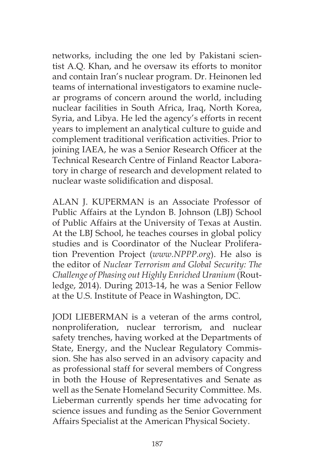networks, including the one led by Pakistani scientist A.Q. Khan, and he oversaw its efforts to monitor and contain Iran's nuclear program. Dr. Heinonen led teams of international investigators to examine nuclear programs of concern around the world, including nuclear facilities in South Africa, Iraq, North Korea, Syria, and Libya. He led the agency's efforts in recent years to implement an analytical culture to guide and complement traditional verification activities. Prior to joining IAEA, he was a Senior Research Officer at the Technical Research Centre of Finland Reactor Laboratory in charge of research and development related to nuclear waste solidification and disposal.

ALAN J. KUPERMAN is an Associate Professor of Public Affairs at the Lyndon B. Johnson (LBJ) School of Public Affairs at the University of Texas at Austin. At the LBJ School, he teaches courses in global policy studies and is Coordinator of the Nuclear Proliferation Prevention Project (*www.NPPP.org*). He also is the editor of *Nuclear Terrorism and Global Security: The Challenge of Phasing out Highly Enriched Uranium* (Routledge, 2014). During 2013-14, he was a Senior Fellow at the U.S. Institute of Peace in Washington, DC.

JODI LIEBERMAN is a veteran of the arms control, nonproliferation, nuclear terrorism, and nuclear safety trenches, having worked at the Departments of State, Energy, and the Nuclear Regulatory Commission. She has also served in an advisory capacity and as professional staff for several members of Congress in both the House of Representatives and Senate as well as the Senate Homeland Security Committee. Ms. Lieberman currently spends her time advocating for science issues and funding as the Senior Government Affairs Specialist at the American Physical Society.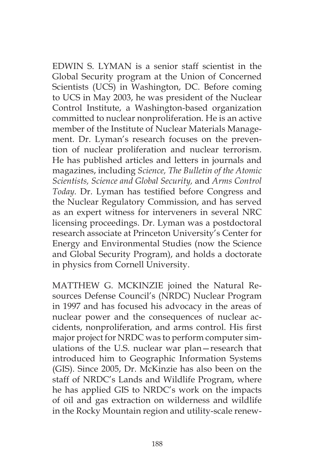EDWIN S. LYMAN is a senior staff scientist in the Global Security program at the Union of Concerned Scientists (UCS) in Washington, DC. Before coming to UCS in May 2003, he was president of the Nuclear Control Institute, a Washington-based organization committed to nuclear nonproliferation. He is an active member of the Institute of Nuclear Materials Management. Dr. Lyman's research focuses on the prevention of nuclear proliferation and nuclear terrorism. He has published articles and letters in journals and magazines, including *Science, The Bulletin of the Atomic Scientists, Science and Global Security,* and *Arms Control Today.* Dr. Lyman has testified before Congress and the Nuclear Regulatory Commission, and has served as an expert witness for interveners in several NRC licensing proceedings. Dr. Lyman was a postdoctoral research associate at Princeton University's Center for Energy and Environmental Studies (now the Science and Global Security Program), and holds a doctorate in physics from Cornell University.

MATTHEW G. MCKINZIE joined the Natural Resources Defense Council's (NRDC) Nuclear Program in 1997 and has focused his advocacy in the areas of nuclear power and the consequences of nuclear accidents, nonproliferation, and arms control. His first major project for NRDC was to perform computer simulations of the U.S. nuclear war plan—research that introduced him to Geographic Information Systems (GIS). Since 2005, Dr. McKinzie has also been on the staff of NRDC's Lands and Wildlife Program, where he has applied GIS to NRDC's work on the impacts of oil and gas extraction on wilderness and wildlife in the Rocky Mountain region and utility-scale renew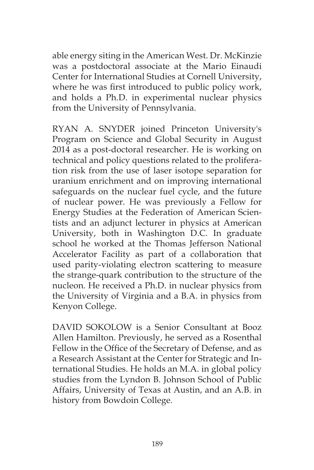able energy siting in the American West. Dr. McKinzie was a postdoctoral associate at the Mario Einaudi Center for International Studies at Cornell University, where he was first introduced to public policy work, and holds a Ph.D. in experimental nuclear physics from the University of Pennsylvania.

RYAN A. SNYDER joined Princeton University's Program on Science and Global Security in August 2014 as a post-doctoral researcher. He is working on technical and policy questions related to the proliferation risk from the use of laser isotope separation for uranium enrichment and on improving international safeguards on the nuclear fuel cycle, and the future of nuclear power. He was previously a Fellow for Energy Studies at the Federation of American Scientists and an adjunct lecturer in physics at American University, both in Washington D.C. In graduate school he worked at the Thomas Jefferson National Accelerator Facility as part of a collaboration that used parity-violating electron scattering to measure the strange-quark contribution to the structure of the nucleon. He received a Ph.D. in nuclear physics from the University of Virginia and a B.A. in physics from Kenyon College.

DAVID SOKOLOW is a Senior Consultant at Booz Allen Hamilton. Previously, he served as a Rosenthal Fellow in the Office of the Secretary of Defense, and as a Research Assistant at the Center for Strategic and International Studies. He holds an M.A. in global policy studies from the Lyndon B. Johnson School of Public Affairs, University of Texas at Austin, and an A.B. in history from Bowdoin College.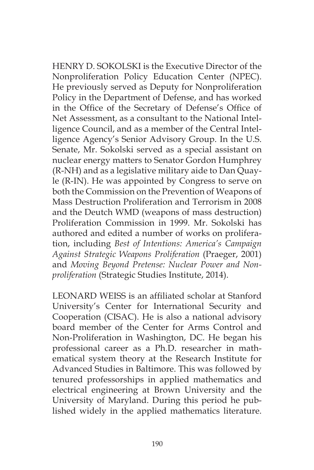HENRY D. SOKOLSKI is the Executive Director of the Nonproliferation Policy Education Center (NPEC). He previously served as Deputy for Nonproliferation Policy in the Department of Defense, and has worked in the Office of the Secretary of Defense's Office of Net Assessment, as a consultant to the National Intelligence Council, and as a member of the Central Intelligence Agency's Senior Advisory Group. In the U.S. Senate, Mr. Sokolski served as a special assistant on nuclear energy matters to Senator Gordon Humphrey (R-NH) and as a legislative military aide to Dan Quayle (R-IN). He was appointed by Congress to serve on both the Commission on the Prevention of Weapons of Mass Destruction Proliferation and Terrorism in 2008 and the Deutch WMD (weapons of mass destruction) Proliferation Commission in 1999. Mr. Sokolski has authored and edited a number of works on proliferation, including *Best of Intentions: America's Campaign Against Strategic Weapons Proliferation* (Praeger, 2001) and *Moving Beyond Pretense: Nuclear Power and Nonproliferation* (Strategic Studies Institute, 2014).

LEONARD WEISS is an affiliated scholar at Stanford University's Center for International Security and Cooperation (CISAC). He is also a national advisory board member of the Center for Arms Control and Non-Proliferation in Washington, DC. He began his professional career as a Ph.D. researcher in mathematical system theory at the Research Institute for Advanced Studies in Baltimore. This was followed by tenured professorships in applied mathematics and electrical engineering at Brown University and the University of Maryland. During this period he published widely in the applied mathematics literature.